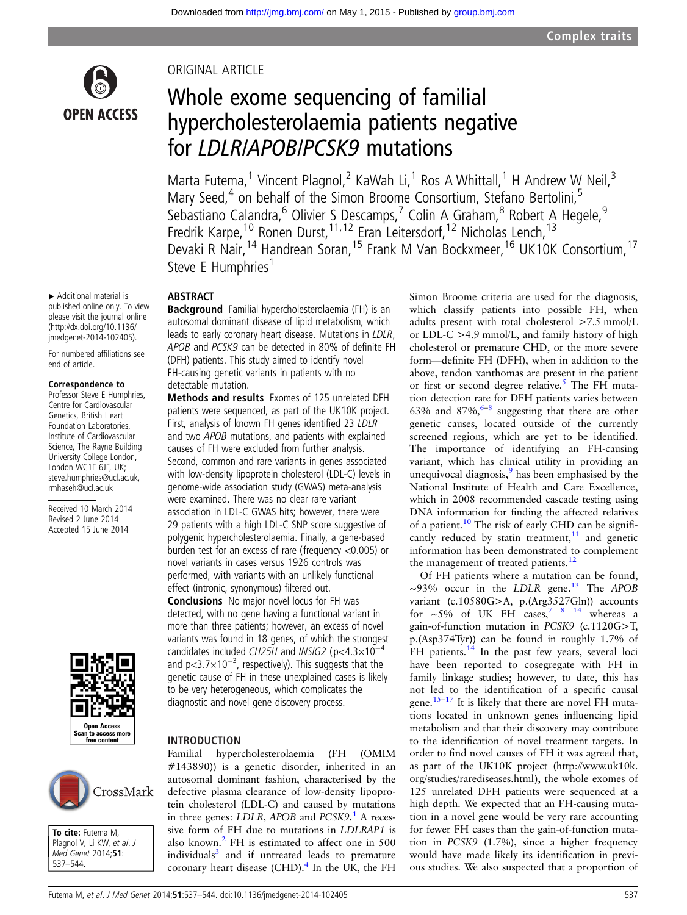

▸ Additional material is

Correspondence to Professor Steve E Humphries, Centre for Cardiovascular Genetics, British Heart Foundation Laboratories, Institute of Cardiovascular Science, The Rayne Building University College London, London WC1E 6JF, UK; steve.humphries@ucl.ac.uk, rmhaseh@ucl.ac.uk Received 10 March 2014 Revised 2 June 2014 Accepted 15 June 2014

end of article.

please visit the journal online [\(http://dx.doi.org/10.1136/](http://dx.doi.org/10.1136/jmedgenet-2014-102405) [jmedgenet-2014-102405\)](http://dx.doi.org/10.1136/jmedgenet-2014-102405). For numbered affiliations see

#### ORIGINAL ARTICLE

## Whole exome sequencing of familial hypercholesterolaemia patients negative for LDLR/APOB/PCSK9 mutations

Marta Futema,<sup>1</sup> Vincent Plagnol,<sup>2</sup> KaWah Li,<sup>1</sup> Ros A Whittall,<sup>1</sup> H Andrew W Neil,<sup>3</sup> Mary Seed,<sup>4</sup> on behalf of the Simon Broome Consortium, Stefano Bertolini,<sup>5</sup> Sebastiano Calandra,<sup>6</sup> Olivier S Descamps,<sup>7</sup> Colin A Graham,<sup>8</sup> Robert A Hegele,<sup>9</sup> Fredrik Karpe,<sup>10</sup> Ronen Durst,<sup>11,12</sup> Eran Leitersdorf,<sup>12</sup> Nicholas Lench,<sup>13</sup> Devaki R Nair, <sup>14</sup> Handrean Soran, <sup>15</sup> Frank M Van Bockxmeer, <sup>16</sup> UK10K Consortium, <sup>17</sup> Steve E Humphries<sup>1</sup>

#### published online only. To view ABSTRACT

Background Familial hypercholesterolaemia (FH) is an autosomal dominant disease of lipid metabolism, which leads to early coronary heart disease. Mutations in LDLR, APOB and PCSK9 can be detected in 80% of definite FH (DFH) patients. This study aimed to identify novel FH-causing genetic variants in patients with no detectable mutation.

Methods and results Exomes of 125 unrelated DFH patients were sequenced, as part of the UK10K project. First, analysis of known FH genes identified 23 LDLR and two APOB mutations, and patients with explained causes of FH were excluded from further analysis. Second, common and rare variants in genes associated with low-density lipoprotein cholesterol (LDL-C) levels in genome-wide association study (GWAS) meta-analysis were examined. There was no clear rare variant association in LDL-C GWAS hits; however, there were 29 patients with a high LDL-C SNP score suggestive of polygenic hypercholesterolaemia. Finally, a gene-based burden test for an excess of rare (frequency <0.005) or novel variants in cases versus 1926 controls was performed, with variants with an unlikely functional

Conclusions No major novel locus for FH was detected, with no gene having a functional variant in more than three patients; however, an excess of novel variants was found in 18 genes, of which the strongest candidates included CH25H and INSIG2 ( $p$ <4.3×10<sup>-4</sup> and p<3.7×10<sup>-3</sup>, respectively). This suggests that the genetic cause of FH in these unexplained cases is likely to be very heterogeneous, which complicates the diagnostic and novel gene discovery process.

## Open Access .<br>In to access r ree conte

# CrossMark

To cite: Futema M. Plagnol V, Li KW, et al. J Med Genet 2014;51: 537–544.

effect (intronic, synonymous) filtered out.

#### INTRODUCTION

Familial hypercholesterolaemia (FH (OMIM #143890)) is a genetic disorder, inherited in an autosomal dominant fashion, characterised by the defective plasma clearance of low-density lipoprotein cholesterol (LDL-C) and caused by mutations in three genes: LDLR, APOB and  $PCSK9$ .<sup>[1](#page-5-0)</sup> A recessive form of FH due to mutations in LDLRAP1 is also known.<sup>2</sup> FH is estimated to affect one in 500 individuals $3$  and if untreated leads to premature coronary heart disease (CHD). $4$  In the UK, the FH Simon Broome criteria are used for the diagnosis, which classify patients into possible FH, when adults present with total cholesterol >7.5 mmol/L or LDL-C >4.9 mmol/L, and family history of high cholesterol or premature CHD, or the more severe form—definite FH (DFH), when in addition to the above, tendon xanthomas are present in the patient or first or second degree relative.<sup>[5](#page-6-0)</sup> The FH mutation detection rate for DFH patients varies between 63% and [8](#page-6-0)7%,  $6-8$  suggesting that there are other genetic causes, located outside of the currently screened regions, which are yet to be identified. The importance of identifying an FH-causing variant, which has clinical utility in providing an unequivocal diagnosis,<sup>[9](#page-6-0)</sup> has been emphasised by the National Institute of Health and Care Excellence, which in 2008 recommended cascade testing using DNA information for finding the affected relatives of a patient.<sup>10</sup> The risk of early CHD can be significantly reduced by statin treatment, $11$  and genetic information has been demonstrated to complement the management of treated patients.<sup>[12](#page-6-0)</sup>

Of FH patients where a mutation can be found,  $\sim$ 93% occur in the LDLR gene.<sup>[13](#page-6-0)</sup> The APOB variant (c.10580G>A, p.(Arg3527Gln)) accounts for ~5% of UK FH  $\cos^7$  8 14 whereas a gain-of-function mutation in PCSK9 (c.1120G>T, p.(Asp374Tyr)) can be found in roughly 1.7% of FH patients.<sup>14</sup> In the past few years, several loci have been reported to cosegregate with FH in family linkage studies; however, to date, this has not led to the identification of a specific causal gene.<sup>15–[17](#page-6-0)</sup> It is likely that there are novel FH mutations located in unknown genes influencing lipid metabolism and that their discovery may contribute to the identification of novel treatment targets. In order to find novel causes of FH it was agreed that, as part of the UK10K project ([http://www.uk10k.](http://www.uk10k.org/studies/rarediseases.html) [org/studies/rarediseases.html](http://www.uk10k.org/studies/rarediseases.html)), the whole exomes of 125 unrelated DFH patients were sequenced at a high depth. We expected that an FH-causing mutation in a novel gene would be very rare accounting for fewer FH cases than the gain-of-function mutation in PCSK9 (1.7%), since a higher frequency would have made likely its identification in previous studies. We also suspected that a proportion of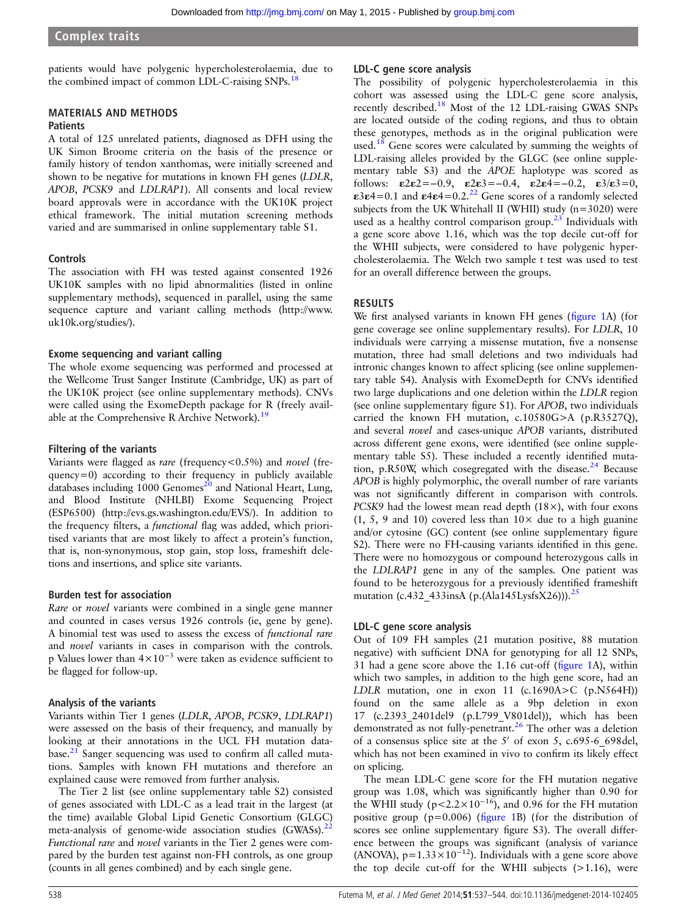patients would have polygenic hypercholesterolaemia, due to the combined impact of common LDL-C-raising SNPs.<sup>1</sup>

#### MATERIALS AND METHODS

#### **Patients**

A total of 125 unrelated patients, diagnosed as DFH using the UK Simon Broome criteria on the basis of the presence or family history of tendon xanthomas, were initially screened and shown to be negative for mutations in known FH genes (LDLR, APOB, PCSK9 and LDLRAP1). All consents and local review board approvals were in accordance with the UK10K project ethical framework. The initial mutation screening methods varied and are summarised in online supplementary table S1.

#### **Controls**

The association with FH was tested against consented 1926 UK10K samples with no lipid abnormalities (listed in online supplementary methods), sequenced in parallel, using the same sequence capture and variant calling methods [\(http://www.](http://www.uk10k.org/studies/) [uk10k.org/studies/\)](http://www.uk10k.org/studies/).

#### Exome sequencing and variant calling

The whole exome sequencing was performed and processed at the Wellcome Trust Sanger Institute (Cambridge, UK) as part of the UK10K project (see online supplementary methods). CNVs were called using the ExomeDepth package for R (freely avail-able at the Comprehensive R Archive Network).<sup>[19](#page-6-0)</sup>

#### Filtering of the variants

Variants were flagged as rare (frequency<0.5%) and novel (fre $quency=0$ ) according to their frequency in publicly available databases including  $1000$  Genomes<sup>[20](#page-6-0)</sup> and National Heart, Lung, and Blood Institute (NHLBI) Exome Sequencing Project (ESP6500) (<http://evs.gs.washington.edu/EVS/>). In addition to the frequency filters, a functional flag was added, which prioritised variants that are most likely to affect a protein's function, that is, non-synonymous, stop gain, stop loss, frameshift deletions and insertions, and splice site variants.

#### Burden test for association

Rare or novel variants were combined in a single gene manner and counted in cases versus 1926 controls (ie, gene by gene). A binomial test was used to assess the excess of functional rare and novel variants in cases in comparison with the controls. p Values lower than 4×10−<sup>3</sup> were taken as evidence sufficient to be flagged for follow-up.

#### Analysis of the variants

Variants within Tier 1 genes (LDLR, APOB, PCSK9, LDLRAP1) were assessed on the basis of their frequency, and manually by looking at their annotations in the UCL FH mutation data-base.<sup>[21](#page-6-0)</sup> Sanger sequencing was used to confirm all called mutations. Samples with known FH mutations and therefore an explained cause were removed from further analysis.

The Tier 2 list (see online supplementary table S2) consisted of genes associated with LDL-C as a lead trait in the largest (at the time) available Global Lipid Genetic Consortium (GLGC) meta-analysis of genome-wide association studies (GWASs).<sup>2</sup> Functional rare and novel variants in the Tier 2 genes were compared by the burden test against non-FH controls, as one group (counts in all genes combined) and by each single gene.

#### LDL-C gene score analysis

The possibility of polygenic hypercholesterolaemia in this cohort was assessed using the LDL-C gene score analysis, recently described[.18](#page-6-0) Most of the 12 LDL-raising GWAS SNPs are located outside of the coding regions, and thus to obtain these genotypes, methods as in the original publication were used.<sup>[18](#page-6-0)</sup> Gene scores were calculated by summing the weights of LDL-raising alleles provided by the GLGC (see online supplementary table S3) and the APOE haplotype was scored as follows:  $\epsilon 2\epsilon 2 = -0.9$ ,  $\epsilon 2\epsilon 3 = -0.4$ ,  $\epsilon 2\epsilon 4 = -0.2$ ,  $\epsilon 3/\epsilon 3 = 0$ , ε3ε4=0.1 and ε4ε4=0.2.<sup>22</sup> Gene scores of a randomly selected subjects from the UK Whitehall II (WHII) study  $(n=3020)$  were used as a healthy control comparison group.<sup>23</sup> Individuals with a gene score above 1.16, which was the top decile cut-off for the WHII subjects, were considered to have polygenic hypercholesterolaemia. The Welch two sample t test was used to test for an overall difference between the groups.

#### RESULTS

We first analysed variants in known FH genes (fi[gure 1A](#page-2-0)) (for gene coverage see online supplementary results). For LDLR, 10 individuals were carrying a missense mutation, five a nonsense mutation, three had small deletions and two individuals had intronic changes known to affect splicing (see online supplementary table S4). Analysis with ExomeDepth for CNVs identified two large duplications and one deletion within the LDLR region (see online supplementary figure S1). For APOB, two individuals carried the known FH mutation, c.10580G>A (p.R3527Q), and several novel and cases-unique APOB variants, distributed across different gene exons, were identified (see online supplementary table S5). These included a recently identified mutation, p.R50W, which cosegregated with the disease. $24$  Because APOB is highly polymorphic, the overall number of rare variants was not significantly different in comparison with controls. PCSK9 had the lowest mean read depth (18×), with four exons (1, 5, 9 and 10) covered less than  $10\times$  due to a high guanine and/or cytosine (GC) content (see online supplementary figure S2). There were no FH-causing variants identified in this gene. There were no homozygous or compound heterozygous calls in the LDLRAP1 gene in any of the samples. One patient was found to be heterozygous for a previously identified frameshift mutation (c.432\_433insA (p.(Ala145LysfsX26))).<sup>[25](#page-6-0)</sup>

#### LDL-C gene score analysis

Out of 109 FH samples (21 mutation positive, 88 mutation negative) with sufficient DNA for genotyping for all 12 SNPs, 31 had a gene score above the 1.16 cut-off (fi[gure 1A](#page-2-0)), within which two samples, in addition to the high gene score, had an LDLR mutation, one in exon 11 (c.1690A>C (p.N564H)) found on the same allele as a 9bp deletion in exon 17 (c.2393\_2401del9 (p.L799\_V801del)), which has been demonstrated as not fully-penetrant.<sup>26</sup> The other was a deletion of a consensus splice site at the  $5'$  of exon 5, c.695-6 698del, which has not been examined in vivo to confirm its likely effect on splicing.

The mean LDL-C gene score for the FH mutation negative group was 1.08, which was significantly higher than 0.90 for the WHII study (p<2.2×10<sup>-16</sup>), and 0.96 for the FH mutation positive group ( $p=0.006$ ) (fi[gure 1B](#page-2-0)) (for the distribution of scores see online supplementary figure S3). The overall difference between the groups was significant (analysis of variance (ANOVA),  $p=1.33\times10^{-12}$ ). Individuals with a gene score above the top decile cut-off for the WHII subjects  $(>1.16)$ , were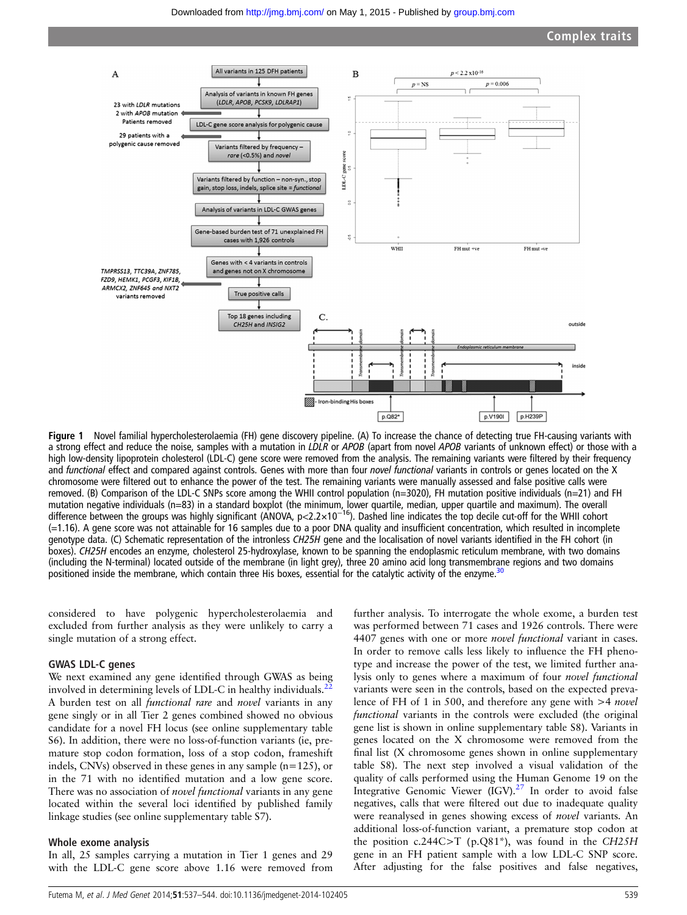<span id="page-2-0"></span>

Figure 1 Novel familial hypercholesterolaemia (FH) gene discovery pipeline. (A) To increase the chance of detecting true FH-causing variants with a strong effect and reduce the noise, samples with a mutation in LDLR or APOB (apart from novel APOB variants of unknown effect) or those with a high low-density lipoprotein cholesterol (LDL-C) gene score were removed from the analysis. The remaining variants were filtered by their frequency and functional effect and compared against controls. Genes with more than four novel functional variants in controls or genes located on the X chromosome were filtered out to enhance the power of the test. The remaining variants were manually assessed and false positive calls were removed. (B) Comparison of the LDL-C SNPs score among the WHII control population (n=3020), FH mutation positive individuals (n=21) and FH mutation negative individuals (n=83) in a standard boxplot (the minimum, lower quartile, median, upper quartile and maximum). The overall<br>difference between the groups was highly significant (ANOVA, p<2.2×10<sup>–16</sup>). Dashed (=1.16). A gene score was not attainable for 16 samples due to a poor DNA quality and insufficient concentration, which resulted in incomplete genotype data. (C) Schematic representation of the intronless CH25H gene and the localisation of novel variants identified in the FH cohort (in boxes). CH25H encodes an enzyme, cholesterol 25-hydroxylase, known to be spanning the endoplasmic reticulum membrane, with two domains (including the N-terminal) located outside of the membrane (in light grey), three 20 amino acid long transmembrane regions and two domains positioned inside the membrane, which contain three His boxes, essential for the catalytic activity of the enzyme.<sup>31</sup>

considered to have polygenic hypercholesterolaemia and excluded from further analysis as they were unlikely to carry a single mutation of a strong effect.

#### GWAS LDL-C genes

We next examined any gene identified through GWAS as being involved in determining levels of LDL-C in healthy individuals.<sup>2</sup> A burden test on all functional rare and novel variants in any gene singly or in all Tier 2 genes combined showed no obvious candidate for a novel FH locus (see online supplementary table S6). In addition, there were no loss-of-function variants (ie, premature stop codon formation, loss of a stop codon, frameshift indels, CNVs) observed in these genes in any sample (n=125), or in the 71 with no identified mutation and a low gene score. There was no association of *novel functional* variants in any gene located within the several loci identified by published family linkage studies (see online supplementary table S7).

#### Whole exome analysis

In all, 25 samples carrying a mutation in Tier 1 genes and 29 with the LDL-C gene score above 1.16 were removed from

further analysis. To interrogate the whole exome, a burden test was performed between 71 cases and 1926 controls. There were 4407 genes with one or more novel functional variant in cases. In order to remove calls less likely to influence the FH phenotype and increase the power of the test, we limited further analysis only to genes where a maximum of four novel functional variants were seen in the controls, based on the expected prevalence of FH of 1 in 500, and therefore any gene with >4 *novel* functional variants in the controls were excluded (the original gene list is shown in online supplementary table S8). Variants in genes located on the X chromosome were removed from the final list (X chromosome genes shown in online supplementary table S8). The next step involved a visual validation of the quality of calls performed using the Human Genome 19 on the Integrative Genomic Viewer (IGV).<sup>[27](#page-6-0)</sup> In order to avoid false negatives, calls that were filtered out due to inadequate quality were reanalysed in genes showing excess of *novel* variants. An additional loss-of-function variant, a premature stop codon at the position c.244C>T (p.Q81\*), was found in the CH25H gene in an FH patient sample with a low LDL-C SNP score. After adjusting for the false positives and false negatives,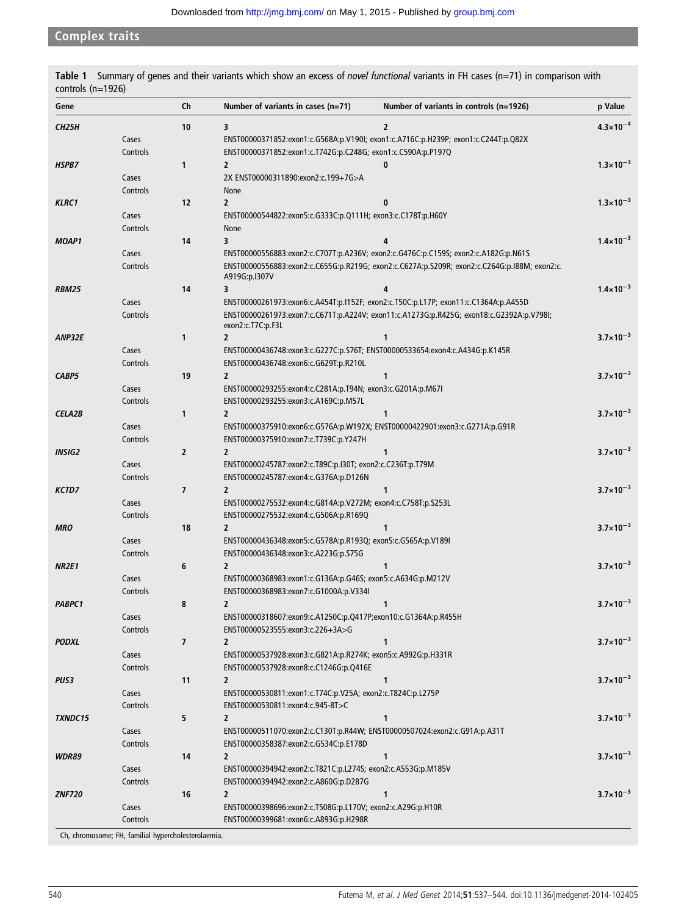<span id="page-3-0"></span>Complex traits

| Ch<br>p Value<br>Gene<br>Number of variants in cases $(n=71)$<br>Number of variants in controls $(n=1926)$<br>$4.3 \times 10^{-4}$<br><b>CH25H</b><br>10<br>3<br>2<br>ENST00000371852:exon1:c.G568A:p.V190I; exon1:c.A716C:p.H239P; exon1:c.C244T:p.Q82X<br>Cases<br>ENST00000371852:exon1:c.T742G:p.C248G; exon1:c.C590A:p.P197Q<br>Controls<br>$1.3 \times 10^{-3}$<br>1<br>$\overline{2}$<br>HSPB7<br>0<br>2X ENST00000311890:exon2:c.199+7G>A<br>Cases<br>Controls<br>None<br>$1.3 \times 10^{-3}$<br>12<br>$\overline{2}$<br>KLRC1<br>0<br>ENST00000544822:exon5:c.G333C:p.Q111H; exon3:c.C178T:p.H60Y<br>Cases<br>Controls<br>None<br>$1.4 \times 10^{-3}$<br>3<br>14<br><b>MOAP1</b><br>4<br>ENST00000556883:exon2:c.C707T:p.A236V; exon2:c.G476C:p.C159S; exon2:c.A182G:p.N61S<br>Cases<br>ENST00000556883:exon2:c.C655G:p.R219G; exon2:c.C627A:p.S209R; exon2:c.C264G:p.I88M; exon2:c.<br>Controls<br>A919G:p.I307V<br>$1.4 \times 10^{-3}$<br>14<br>3<br>RBM25<br>ENST00000261973:exon6:c.A454T:p.I152F; exon2:c.T50C:p.L17P; exon11:c.C1364A:p.A455D<br>Cases<br>Controls<br>ENST00000261973:exon7:c.C671T:p.A224V; exon11:c.A1273G:p.R425G; exon18:c.G2392A:p.V798I;<br>exon2:c.T7C:p.F3L<br>$3.7 \times 10^{-3}$<br>1<br>$\overline{2}$<br>1<br>ANP32E<br>ENST00000436748:exon3:c.G227C:p.S76T; ENST00000533654:exon4:c.A434G:p.K145R<br>Cases<br>ENST00000436748:exon6:c.G629T:p.R210L<br>Controls<br>$3.7 \times 10^{-3}$<br>19<br>CABP5<br>2<br>1<br>Cases<br>ENST00000293255:exon4:c.C281A:p.T94N; exon3:c.G201A:p.M67I<br>ENST00000293255:exon3:c.A169C:p.M57L<br>Controls<br>$3.7 \times 10^{-3}$<br>1<br>$\overline{\mathbf{2}}$<br><b>CELA2B</b><br>1<br>ENST00000375910:exon6:c.G576A:p.W192X; ENST00000422901:exon3:c.G271A:p.G91R<br>Cases<br>ENST00000375910:exon7:c.T739C:p.Y247H<br>Controls<br>$3.7 \times 10^{-3}$<br>$\overline{2}$<br>INSIG2<br>$\overline{2}$<br>ENST00000245787:exon2:c.T89C:p.I30T; exon2:c.C236T:p.T79M<br>Cases<br>ENST00000245787:exon4:c.G376A:p.D126N<br>Controls<br>$3.7 \times 10^{-3}$<br>$\overline{\phantom{a}}$<br>$\overline{\mathbf{2}}$<br>1<br>KCTD7<br>ENST00000275532:exon4:c.G814A:p.V272M; exon4:c.C758T:p.S253L<br>Cases<br>Controls<br>ENST00000275532:exon4:c.G506A:p.R169Q<br>$3.7 \times 10^{-3}$<br>18<br>$\overline{2}$<br><b>MRO</b><br>1<br>ENST00000436348:exon5:c.G578A:p.R193Q; exon5:c.G565A:p.V189I<br>Cases<br>ENST00000436348:exon3:c.A223G:p.S75G<br>Controls<br>$3.7\times10^{-3}$<br>6<br>$\overline{\mathbf{2}}$<br>NR2E1<br>1<br>ENST00000368983:exon1:c.G136A:p.G46S; exon5:c.A634G:p.M212V<br>Cases<br>ENST00000368983:exon7:c.G1000A:p.V334I<br>Controls<br>PABPC1<br>8<br>2<br>$3.7 \times 10^{-3}$<br>Cases<br>ENST00000318607:exon9:c.A1250C:p.Q417P;exon10:c.G1364A:p.R455H<br>Controls<br>ENST00000523555:exon3:c.226+3A>G<br>$3.7 \times 10^{-3}$<br>7<br><b>PODXL</b><br>2<br>ENST00000537928:exon3:c.G821A:p.R274K; exon5:c.A992G:p.H331R<br>Cases<br>Controls<br>ENST00000537928:exon8:c.C1246G:p.Q416E<br>$3.7 \times 10^{-3}$<br>11<br>PUS3<br>2<br>ENST00000530811:exon1:c.T74C:p.V25A; exon2:c.T824C:p.L275P<br>Cases<br>Controls<br>ENST00000530811:exon4:c.945-8T>C<br>$3.7 \times 10^{-3}$<br>5<br>$\overline{2}$<br>1<br><b>TXNDC15</b><br>ENST00000511070:exon2:c.C130T:p.R44W; ENST00000507024:exon2:c.G91A:p.A31T<br>Cases<br>ENST00000358387:exon2:c.G534C:p.E178D<br>Controls<br>$3.7 \times 10^{-3}$<br>14<br>WDR89<br>2<br>1<br>ENST00000394942:exon2:c.T821C:p.L274S; exon2:c.A553G:p.M185V<br>Cases<br>ENST00000394942:exon2:c.A860G:p.D287G<br>Controls<br>$3.7\times10^{-3}$<br>16<br>2<br><b>ZNF720</b><br>1<br>ENST00000398696:exon2:c.T508G:p.L170V; exon2:c.A29G:p.H10R<br>Cases<br>Controls<br>ENST00000399681:exon6:c.A893G:p.H298R | controls $(n=1926)$ |  |  |  |  |
|--------------------------------------------------------------------------------------------------------------------------------------------------------------------------------------------------------------------------------------------------------------------------------------------------------------------------------------------------------------------------------------------------------------------------------------------------------------------------------------------------------------------------------------------------------------------------------------------------------------------------------------------------------------------------------------------------------------------------------------------------------------------------------------------------------------------------------------------------------------------------------------------------------------------------------------------------------------------------------------------------------------------------------------------------------------------------------------------------------------------------------------------------------------------------------------------------------------------------------------------------------------------------------------------------------------------------------------------------------------------------------------------------------------------------------------------------------------------------------------------------------------------------------------------------------------------------------------------------------------------------------------------------------------------------------------------------------------------------------------------------------------------------------------------------------------------------------------------------------------------------------------------------------------------------------------------------------------------------------------------------------------------------------------------------------------------------------------------------------------------------------------------------------------------------------------------------------------------------------------------------------------------------------------------------------------------------------------------------------------------------------------------------------------------------------------------------------------------------------------------------------------------------------------------------------------------------------------------------------------------------------------------------------------------------------------------------------------------------------------------------------------------------------------------------------------------------------------------------------------------------------------------------------------------------------------------------------------------------------------------------------------------------------------------------------------------------------------------------------------------------------------------------------------------------------------------------------------------------------------------------------------------------------------------------------------------------------------------------------------------------------------------------------------------------------------------------------------------------------------------------------------------------------------------------------------------------------------------------------------------------------------------------------------------------------------------------------------------------------------------------------------------|---------------------|--|--|--|--|
|                                                                                                                                                                                                                                                                                                                                                                                                                                                                                                                                                                                                                                                                                                                                                                                                                                                                                                                                                                                                                                                                                                                                                                                                                                                                                                                                                                                                                                                                                                                                                                                                                                                                                                                                                                                                                                                                                                                                                                                                                                                                                                                                                                                                                                                                                                                                                                                                                                                                                                                                                                                                                                                                                                                                                                                                                                                                                                                                                                                                                                                                                                                                                                                                                                                                                                                                                                                                                                                                                                                                                                                                                                                                                                                                                                    |                     |  |  |  |  |
|                                                                                                                                                                                                                                                                                                                                                                                                                                                                                                                                                                                                                                                                                                                                                                                                                                                                                                                                                                                                                                                                                                                                                                                                                                                                                                                                                                                                                                                                                                                                                                                                                                                                                                                                                                                                                                                                                                                                                                                                                                                                                                                                                                                                                                                                                                                                                                                                                                                                                                                                                                                                                                                                                                                                                                                                                                                                                                                                                                                                                                                                                                                                                                                                                                                                                                                                                                                                                                                                                                                                                                                                                                                                                                                                                                    |                     |  |  |  |  |
|                                                                                                                                                                                                                                                                                                                                                                                                                                                                                                                                                                                                                                                                                                                                                                                                                                                                                                                                                                                                                                                                                                                                                                                                                                                                                                                                                                                                                                                                                                                                                                                                                                                                                                                                                                                                                                                                                                                                                                                                                                                                                                                                                                                                                                                                                                                                                                                                                                                                                                                                                                                                                                                                                                                                                                                                                                                                                                                                                                                                                                                                                                                                                                                                                                                                                                                                                                                                                                                                                                                                                                                                                                                                                                                                                                    |                     |  |  |  |  |
|                                                                                                                                                                                                                                                                                                                                                                                                                                                                                                                                                                                                                                                                                                                                                                                                                                                                                                                                                                                                                                                                                                                                                                                                                                                                                                                                                                                                                                                                                                                                                                                                                                                                                                                                                                                                                                                                                                                                                                                                                                                                                                                                                                                                                                                                                                                                                                                                                                                                                                                                                                                                                                                                                                                                                                                                                                                                                                                                                                                                                                                                                                                                                                                                                                                                                                                                                                                                                                                                                                                                                                                                                                                                                                                                                                    |                     |  |  |  |  |
|                                                                                                                                                                                                                                                                                                                                                                                                                                                                                                                                                                                                                                                                                                                                                                                                                                                                                                                                                                                                                                                                                                                                                                                                                                                                                                                                                                                                                                                                                                                                                                                                                                                                                                                                                                                                                                                                                                                                                                                                                                                                                                                                                                                                                                                                                                                                                                                                                                                                                                                                                                                                                                                                                                                                                                                                                                                                                                                                                                                                                                                                                                                                                                                                                                                                                                                                                                                                                                                                                                                                                                                                                                                                                                                                                                    |                     |  |  |  |  |
|                                                                                                                                                                                                                                                                                                                                                                                                                                                                                                                                                                                                                                                                                                                                                                                                                                                                                                                                                                                                                                                                                                                                                                                                                                                                                                                                                                                                                                                                                                                                                                                                                                                                                                                                                                                                                                                                                                                                                                                                                                                                                                                                                                                                                                                                                                                                                                                                                                                                                                                                                                                                                                                                                                                                                                                                                                                                                                                                                                                                                                                                                                                                                                                                                                                                                                                                                                                                                                                                                                                                                                                                                                                                                                                                                                    |                     |  |  |  |  |
|                                                                                                                                                                                                                                                                                                                                                                                                                                                                                                                                                                                                                                                                                                                                                                                                                                                                                                                                                                                                                                                                                                                                                                                                                                                                                                                                                                                                                                                                                                                                                                                                                                                                                                                                                                                                                                                                                                                                                                                                                                                                                                                                                                                                                                                                                                                                                                                                                                                                                                                                                                                                                                                                                                                                                                                                                                                                                                                                                                                                                                                                                                                                                                                                                                                                                                                                                                                                                                                                                                                                                                                                                                                                                                                                                                    |                     |  |  |  |  |
|                                                                                                                                                                                                                                                                                                                                                                                                                                                                                                                                                                                                                                                                                                                                                                                                                                                                                                                                                                                                                                                                                                                                                                                                                                                                                                                                                                                                                                                                                                                                                                                                                                                                                                                                                                                                                                                                                                                                                                                                                                                                                                                                                                                                                                                                                                                                                                                                                                                                                                                                                                                                                                                                                                                                                                                                                                                                                                                                                                                                                                                                                                                                                                                                                                                                                                                                                                                                                                                                                                                                                                                                                                                                                                                                                                    |                     |  |  |  |  |
|                                                                                                                                                                                                                                                                                                                                                                                                                                                                                                                                                                                                                                                                                                                                                                                                                                                                                                                                                                                                                                                                                                                                                                                                                                                                                                                                                                                                                                                                                                                                                                                                                                                                                                                                                                                                                                                                                                                                                                                                                                                                                                                                                                                                                                                                                                                                                                                                                                                                                                                                                                                                                                                                                                                                                                                                                                                                                                                                                                                                                                                                                                                                                                                                                                                                                                                                                                                                                                                                                                                                                                                                                                                                                                                                                                    |                     |  |  |  |  |
|                                                                                                                                                                                                                                                                                                                                                                                                                                                                                                                                                                                                                                                                                                                                                                                                                                                                                                                                                                                                                                                                                                                                                                                                                                                                                                                                                                                                                                                                                                                                                                                                                                                                                                                                                                                                                                                                                                                                                                                                                                                                                                                                                                                                                                                                                                                                                                                                                                                                                                                                                                                                                                                                                                                                                                                                                                                                                                                                                                                                                                                                                                                                                                                                                                                                                                                                                                                                                                                                                                                                                                                                                                                                                                                                                                    |                     |  |  |  |  |
|                                                                                                                                                                                                                                                                                                                                                                                                                                                                                                                                                                                                                                                                                                                                                                                                                                                                                                                                                                                                                                                                                                                                                                                                                                                                                                                                                                                                                                                                                                                                                                                                                                                                                                                                                                                                                                                                                                                                                                                                                                                                                                                                                                                                                                                                                                                                                                                                                                                                                                                                                                                                                                                                                                                                                                                                                                                                                                                                                                                                                                                                                                                                                                                                                                                                                                                                                                                                                                                                                                                                                                                                                                                                                                                                                                    |                     |  |  |  |  |
|                                                                                                                                                                                                                                                                                                                                                                                                                                                                                                                                                                                                                                                                                                                                                                                                                                                                                                                                                                                                                                                                                                                                                                                                                                                                                                                                                                                                                                                                                                                                                                                                                                                                                                                                                                                                                                                                                                                                                                                                                                                                                                                                                                                                                                                                                                                                                                                                                                                                                                                                                                                                                                                                                                                                                                                                                                                                                                                                                                                                                                                                                                                                                                                                                                                                                                                                                                                                                                                                                                                                                                                                                                                                                                                                                                    |                     |  |  |  |  |
|                                                                                                                                                                                                                                                                                                                                                                                                                                                                                                                                                                                                                                                                                                                                                                                                                                                                                                                                                                                                                                                                                                                                                                                                                                                                                                                                                                                                                                                                                                                                                                                                                                                                                                                                                                                                                                                                                                                                                                                                                                                                                                                                                                                                                                                                                                                                                                                                                                                                                                                                                                                                                                                                                                                                                                                                                                                                                                                                                                                                                                                                                                                                                                                                                                                                                                                                                                                                                                                                                                                                                                                                                                                                                                                                                                    |                     |  |  |  |  |
|                                                                                                                                                                                                                                                                                                                                                                                                                                                                                                                                                                                                                                                                                                                                                                                                                                                                                                                                                                                                                                                                                                                                                                                                                                                                                                                                                                                                                                                                                                                                                                                                                                                                                                                                                                                                                                                                                                                                                                                                                                                                                                                                                                                                                                                                                                                                                                                                                                                                                                                                                                                                                                                                                                                                                                                                                                                                                                                                                                                                                                                                                                                                                                                                                                                                                                                                                                                                                                                                                                                                                                                                                                                                                                                                                                    |                     |  |  |  |  |
|                                                                                                                                                                                                                                                                                                                                                                                                                                                                                                                                                                                                                                                                                                                                                                                                                                                                                                                                                                                                                                                                                                                                                                                                                                                                                                                                                                                                                                                                                                                                                                                                                                                                                                                                                                                                                                                                                                                                                                                                                                                                                                                                                                                                                                                                                                                                                                                                                                                                                                                                                                                                                                                                                                                                                                                                                                                                                                                                                                                                                                                                                                                                                                                                                                                                                                                                                                                                                                                                                                                                                                                                                                                                                                                                                                    |                     |  |  |  |  |
|                                                                                                                                                                                                                                                                                                                                                                                                                                                                                                                                                                                                                                                                                                                                                                                                                                                                                                                                                                                                                                                                                                                                                                                                                                                                                                                                                                                                                                                                                                                                                                                                                                                                                                                                                                                                                                                                                                                                                                                                                                                                                                                                                                                                                                                                                                                                                                                                                                                                                                                                                                                                                                                                                                                                                                                                                                                                                                                                                                                                                                                                                                                                                                                                                                                                                                                                                                                                                                                                                                                                                                                                                                                                                                                                                                    |                     |  |  |  |  |
|                                                                                                                                                                                                                                                                                                                                                                                                                                                                                                                                                                                                                                                                                                                                                                                                                                                                                                                                                                                                                                                                                                                                                                                                                                                                                                                                                                                                                                                                                                                                                                                                                                                                                                                                                                                                                                                                                                                                                                                                                                                                                                                                                                                                                                                                                                                                                                                                                                                                                                                                                                                                                                                                                                                                                                                                                                                                                                                                                                                                                                                                                                                                                                                                                                                                                                                                                                                                                                                                                                                                                                                                                                                                                                                                                                    |                     |  |  |  |  |
|                                                                                                                                                                                                                                                                                                                                                                                                                                                                                                                                                                                                                                                                                                                                                                                                                                                                                                                                                                                                                                                                                                                                                                                                                                                                                                                                                                                                                                                                                                                                                                                                                                                                                                                                                                                                                                                                                                                                                                                                                                                                                                                                                                                                                                                                                                                                                                                                                                                                                                                                                                                                                                                                                                                                                                                                                                                                                                                                                                                                                                                                                                                                                                                                                                                                                                                                                                                                                                                                                                                                                                                                                                                                                                                                                                    |                     |  |  |  |  |
|                                                                                                                                                                                                                                                                                                                                                                                                                                                                                                                                                                                                                                                                                                                                                                                                                                                                                                                                                                                                                                                                                                                                                                                                                                                                                                                                                                                                                                                                                                                                                                                                                                                                                                                                                                                                                                                                                                                                                                                                                                                                                                                                                                                                                                                                                                                                                                                                                                                                                                                                                                                                                                                                                                                                                                                                                                                                                                                                                                                                                                                                                                                                                                                                                                                                                                                                                                                                                                                                                                                                                                                                                                                                                                                                                                    |                     |  |  |  |  |
|                                                                                                                                                                                                                                                                                                                                                                                                                                                                                                                                                                                                                                                                                                                                                                                                                                                                                                                                                                                                                                                                                                                                                                                                                                                                                                                                                                                                                                                                                                                                                                                                                                                                                                                                                                                                                                                                                                                                                                                                                                                                                                                                                                                                                                                                                                                                                                                                                                                                                                                                                                                                                                                                                                                                                                                                                                                                                                                                                                                                                                                                                                                                                                                                                                                                                                                                                                                                                                                                                                                                                                                                                                                                                                                                                                    |                     |  |  |  |  |
|                                                                                                                                                                                                                                                                                                                                                                                                                                                                                                                                                                                                                                                                                                                                                                                                                                                                                                                                                                                                                                                                                                                                                                                                                                                                                                                                                                                                                                                                                                                                                                                                                                                                                                                                                                                                                                                                                                                                                                                                                                                                                                                                                                                                                                                                                                                                                                                                                                                                                                                                                                                                                                                                                                                                                                                                                                                                                                                                                                                                                                                                                                                                                                                                                                                                                                                                                                                                                                                                                                                                                                                                                                                                                                                                                                    |                     |  |  |  |  |
|                                                                                                                                                                                                                                                                                                                                                                                                                                                                                                                                                                                                                                                                                                                                                                                                                                                                                                                                                                                                                                                                                                                                                                                                                                                                                                                                                                                                                                                                                                                                                                                                                                                                                                                                                                                                                                                                                                                                                                                                                                                                                                                                                                                                                                                                                                                                                                                                                                                                                                                                                                                                                                                                                                                                                                                                                                                                                                                                                                                                                                                                                                                                                                                                                                                                                                                                                                                                                                                                                                                                                                                                                                                                                                                                                                    |                     |  |  |  |  |
|                                                                                                                                                                                                                                                                                                                                                                                                                                                                                                                                                                                                                                                                                                                                                                                                                                                                                                                                                                                                                                                                                                                                                                                                                                                                                                                                                                                                                                                                                                                                                                                                                                                                                                                                                                                                                                                                                                                                                                                                                                                                                                                                                                                                                                                                                                                                                                                                                                                                                                                                                                                                                                                                                                                                                                                                                                                                                                                                                                                                                                                                                                                                                                                                                                                                                                                                                                                                                                                                                                                                                                                                                                                                                                                                                                    |                     |  |  |  |  |
|                                                                                                                                                                                                                                                                                                                                                                                                                                                                                                                                                                                                                                                                                                                                                                                                                                                                                                                                                                                                                                                                                                                                                                                                                                                                                                                                                                                                                                                                                                                                                                                                                                                                                                                                                                                                                                                                                                                                                                                                                                                                                                                                                                                                                                                                                                                                                                                                                                                                                                                                                                                                                                                                                                                                                                                                                                                                                                                                                                                                                                                                                                                                                                                                                                                                                                                                                                                                                                                                                                                                                                                                                                                                                                                                                                    |                     |  |  |  |  |
|                                                                                                                                                                                                                                                                                                                                                                                                                                                                                                                                                                                                                                                                                                                                                                                                                                                                                                                                                                                                                                                                                                                                                                                                                                                                                                                                                                                                                                                                                                                                                                                                                                                                                                                                                                                                                                                                                                                                                                                                                                                                                                                                                                                                                                                                                                                                                                                                                                                                                                                                                                                                                                                                                                                                                                                                                                                                                                                                                                                                                                                                                                                                                                                                                                                                                                                                                                                                                                                                                                                                                                                                                                                                                                                                                                    |                     |  |  |  |  |
|                                                                                                                                                                                                                                                                                                                                                                                                                                                                                                                                                                                                                                                                                                                                                                                                                                                                                                                                                                                                                                                                                                                                                                                                                                                                                                                                                                                                                                                                                                                                                                                                                                                                                                                                                                                                                                                                                                                                                                                                                                                                                                                                                                                                                                                                                                                                                                                                                                                                                                                                                                                                                                                                                                                                                                                                                                                                                                                                                                                                                                                                                                                                                                                                                                                                                                                                                                                                                                                                                                                                                                                                                                                                                                                                                                    |                     |  |  |  |  |
|                                                                                                                                                                                                                                                                                                                                                                                                                                                                                                                                                                                                                                                                                                                                                                                                                                                                                                                                                                                                                                                                                                                                                                                                                                                                                                                                                                                                                                                                                                                                                                                                                                                                                                                                                                                                                                                                                                                                                                                                                                                                                                                                                                                                                                                                                                                                                                                                                                                                                                                                                                                                                                                                                                                                                                                                                                                                                                                                                                                                                                                                                                                                                                                                                                                                                                                                                                                                                                                                                                                                                                                                                                                                                                                                                                    |                     |  |  |  |  |
|                                                                                                                                                                                                                                                                                                                                                                                                                                                                                                                                                                                                                                                                                                                                                                                                                                                                                                                                                                                                                                                                                                                                                                                                                                                                                                                                                                                                                                                                                                                                                                                                                                                                                                                                                                                                                                                                                                                                                                                                                                                                                                                                                                                                                                                                                                                                                                                                                                                                                                                                                                                                                                                                                                                                                                                                                                                                                                                                                                                                                                                                                                                                                                                                                                                                                                                                                                                                                                                                                                                                                                                                                                                                                                                                                                    |                     |  |  |  |  |
|                                                                                                                                                                                                                                                                                                                                                                                                                                                                                                                                                                                                                                                                                                                                                                                                                                                                                                                                                                                                                                                                                                                                                                                                                                                                                                                                                                                                                                                                                                                                                                                                                                                                                                                                                                                                                                                                                                                                                                                                                                                                                                                                                                                                                                                                                                                                                                                                                                                                                                                                                                                                                                                                                                                                                                                                                                                                                                                                                                                                                                                                                                                                                                                                                                                                                                                                                                                                                                                                                                                                                                                                                                                                                                                                                                    |                     |  |  |  |  |
|                                                                                                                                                                                                                                                                                                                                                                                                                                                                                                                                                                                                                                                                                                                                                                                                                                                                                                                                                                                                                                                                                                                                                                                                                                                                                                                                                                                                                                                                                                                                                                                                                                                                                                                                                                                                                                                                                                                                                                                                                                                                                                                                                                                                                                                                                                                                                                                                                                                                                                                                                                                                                                                                                                                                                                                                                                                                                                                                                                                                                                                                                                                                                                                                                                                                                                                                                                                                                                                                                                                                                                                                                                                                                                                                                                    |                     |  |  |  |  |
|                                                                                                                                                                                                                                                                                                                                                                                                                                                                                                                                                                                                                                                                                                                                                                                                                                                                                                                                                                                                                                                                                                                                                                                                                                                                                                                                                                                                                                                                                                                                                                                                                                                                                                                                                                                                                                                                                                                                                                                                                                                                                                                                                                                                                                                                                                                                                                                                                                                                                                                                                                                                                                                                                                                                                                                                                                                                                                                                                                                                                                                                                                                                                                                                                                                                                                                                                                                                                                                                                                                                                                                                                                                                                                                                                                    |                     |  |  |  |  |
|                                                                                                                                                                                                                                                                                                                                                                                                                                                                                                                                                                                                                                                                                                                                                                                                                                                                                                                                                                                                                                                                                                                                                                                                                                                                                                                                                                                                                                                                                                                                                                                                                                                                                                                                                                                                                                                                                                                                                                                                                                                                                                                                                                                                                                                                                                                                                                                                                                                                                                                                                                                                                                                                                                                                                                                                                                                                                                                                                                                                                                                                                                                                                                                                                                                                                                                                                                                                                                                                                                                                                                                                                                                                                                                                                                    |                     |  |  |  |  |
|                                                                                                                                                                                                                                                                                                                                                                                                                                                                                                                                                                                                                                                                                                                                                                                                                                                                                                                                                                                                                                                                                                                                                                                                                                                                                                                                                                                                                                                                                                                                                                                                                                                                                                                                                                                                                                                                                                                                                                                                                                                                                                                                                                                                                                                                                                                                                                                                                                                                                                                                                                                                                                                                                                                                                                                                                                                                                                                                                                                                                                                                                                                                                                                                                                                                                                                                                                                                                                                                                                                                                                                                                                                                                                                                                                    |                     |  |  |  |  |
|                                                                                                                                                                                                                                                                                                                                                                                                                                                                                                                                                                                                                                                                                                                                                                                                                                                                                                                                                                                                                                                                                                                                                                                                                                                                                                                                                                                                                                                                                                                                                                                                                                                                                                                                                                                                                                                                                                                                                                                                                                                                                                                                                                                                                                                                                                                                                                                                                                                                                                                                                                                                                                                                                                                                                                                                                                                                                                                                                                                                                                                                                                                                                                                                                                                                                                                                                                                                                                                                                                                                                                                                                                                                                                                                                                    |                     |  |  |  |  |
|                                                                                                                                                                                                                                                                                                                                                                                                                                                                                                                                                                                                                                                                                                                                                                                                                                                                                                                                                                                                                                                                                                                                                                                                                                                                                                                                                                                                                                                                                                                                                                                                                                                                                                                                                                                                                                                                                                                                                                                                                                                                                                                                                                                                                                                                                                                                                                                                                                                                                                                                                                                                                                                                                                                                                                                                                                                                                                                                                                                                                                                                                                                                                                                                                                                                                                                                                                                                                                                                                                                                                                                                                                                                                                                                                                    |                     |  |  |  |  |
|                                                                                                                                                                                                                                                                                                                                                                                                                                                                                                                                                                                                                                                                                                                                                                                                                                                                                                                                                                                                                                                                                                                                                                                                                                                                                                                                                                                                                                                                                                                                                                                                                                                                                                                                                                                                                                                                                                                                                                                                                                                                                                                                                                                                                                                                                                                                                                                                                                                                                                                                                                                                                                                                                                                                                                                                                                                                                                                                                                                                                                                                                                                                                                                                                                                                                                                                                                                                                                                                                                                                                                                                                                                                                                                                                                    |                     |  |  |  |  |
|                                                                                                                                                                                                                                                                                                                                                                                                                                                                                                                                                                                                                                                                                                                                                                                                                                                                                                                                                                                                                                                                                                                                                                                                                                                                                                                                                                                                                                                                                                                                                                                                                                                                                                                                                                                                                                                                                                                                                                                                                                                                                                                                                                                                                                                                                                                                                                                                                                                                                                                                                                                                                                                                                                                                                                                                                                                                                                                                                                                                                                                                                                                                                                                                                                                                                                                                                                                                                                                                                                                                                                                                                                                                                                                                                                    |                     |  |  |  |  |
|                                                                                                                                                                                                                                                                                                                                                                                                                                                                                                                                                                                                                                                                                                                                                                                                                                                                                                                                                                                                                                                                                                                                                                                                                                                                                                                                                                                                                                                                                                                                                                                                                                                                                                                                                                                                                                                                                                                                                                                                                                                                                                                                                                                                                                                                                                                                                                                                                                                                                                                                                                                                                                                                                                                                                                                                                                                                                                                                                                                                                                                                                                                                                                                                                                                                                                                                                                                                                                                                                                                                                                                                                                                                                                                                                                    |                     |  |  |  |  |
|                                                                                                                                                                                                                                                                                                                                                                                                                                                                                                                                                                                                                                                                                                                                                                                                                                                                                                                                                                                                                                                                                                                                                                                                                                                                                                                                                                                                                                                                                                                                                                                                                                                                                                                                                                                                                                                                                                                                                                                                                                                                                                                                                                                                                                                                                                                                                                                                                                                                                                                                                                                                                                                                                                                                                                                                                                                                                                                                                                                                                                                                                                                                                                                                                                                                                                                                                                                                                                                                                                                                                                                                                                                                                                                                                                    |                     |  |  |  |  |
|                                                                                                                                                                                                                                                                                                                                                                                                                                                                                                                                                                                                                                                                                                                                                                                                                                                                                                                                                                                                                                                                                                                                                                                                                                                                                                                                                                                                                                                                                                                                                                                                                                                                                                                                                                                                                                                                                                                                                                                                                                                                                                                                                                                                                                                                                                                                                                                                                                                                                                                                                                                                                                                                                                                                                                                                                                                                                                                                                                                                                                                                                                                                                                                                                                                                                                                                                                                                                                                                                                                                                                                                                                                                                                                                                                    |                     |  |  |  |  |
|                                                                                                                                                                                                                                                                                                                                                                                                                                                                                                                                                                                                                                                                                                                                                                                                                                                                                                                                                                                                                                                                                                                                                                                                                                                                                                                                                                                                                                                                                                                                                                                                                                                                                                                                                                                                                                                                                                                                                                                                                                                                                                                                                                                                                                                                                                                                                                                                                                                                                                                                                                                                                                                                                                                                                                                                                                                                                                                                                                                                                                                                                                                                                                                                                                                                                                                                                                                                                                                                                                                                                                                                                                                                                                                                                                    |                     |  |  |  |  |
|                                                                                                                                                                                                                                                                                                                                                                                                                                                                                                                                                                                                                                                                                                                                                                                                                                                                                                                                                                                                                                                                                                                                                                                                                                                                                                                                                                                                                                                                                                                                                                                                                                                                                                                                                                                                                                                                                                                                                                                                                                                                                                                                                                                                                                                                                                                                                                                                                                                                                                                                                                                                                                                                                                                                                                                                                                                                                                                                                                                                                                                                                                                                                                                                                                                                                                                                                                                                                                                                                                                                                                                                                                                                                                                                                                    |                     |  |  |  |  |
|                                                                                                                                                                                                                                                                                                                                                                                                                                                                                                                                                                                                                                                                                                                                                                                                                                                                                                                                                                                                                                                                                                                                                                                                                                                                                                                                                                                                                                                                                                                                                                                                                                                                                                                                                                                                                                                                                                                                                                                                                                                                                                                                                                                                                                                                                                                                                                                                                                                                                                                                                                                                                                                                                                                                                                                                                                                                                                                                                                                                                                                                                                                                                                                                                                                                                                                                                                                                                                                                                                                                                                                                                                                                                                                                                                    |                     |  |  |  |  |
|                                                                                                                                                                                                                                                                                                                                                                                                                                                                                                                                                                                                                                                                                                                                                                                                                                                                                                                                                                                                                                                                                                                                                                                                                                                                                                                                                                                                                                                                                                                                                                                                                                                                                                                                                                                                                                                                                                                                                                                                                                                                                                                                                                                                                                                                                                                                                                                                                                                                                                                                                                                                                                                                                                                                                                                                                                                                                                                                                                                                                                                                                                                                                                                                                                                                                                                                                                                                                                                                                                                                                                                                                                                                                                                                                                    |                     |  |  |  |  |
|                                                                                                                                                                                                                                                                                                                                                                                                                                                                                                                                                                                                                                                                                                                                                                                                                                                                                                                                                                                                                                                                                                                                                                                                                                                                                                                                                                                                                                                                                                                                                                                                                                                                                                                                                                                                                                                                                                                                                                                                                                                                                                                                                                                                                                                                                                                                                                                                                                                                                                                                                                                                                                                                                                                                                                                                                                                                                                                                                                                                                                                                                                                                                                                                                                                                                                                                                                                                                                                                                                                                                                                                                                                                                                                                                                    |                     |  |  |  |  |
|                                                                                                                                                                                                                                                                                                                                                                                                                                                                                                                                                                                                                                                                                                                                                                                                                                                                                                                                                                                                                                                                                                                                                                                                                                                                                                                                                                                                                                                                                                                                                                                                                                                                                                                                                                                                                                                                                                                                                                                                                                                                                                                                                                                                                                                                                                                                                                                                                                                                                                                                                                                                                                                                                                                                                                                                                                                                                                                                                                                                                                                                                                                                                                                                                                                                                                                                                                                                                                                                                                                                                                                                                                                                                                                                                                    |                     |  |  |  |  |
|                                                                                                                                                                                                                                                                                                                                                                                                                                                                                                                                                                                                                                                                                                                                                                                                                                                                                                                                                                                                                                                                                                                                                                                                                                                                                                                                                                                                                                                                                                                                                                                                                                                                                                                                                                                                                                                                                                                                                                                                                                                                                                                                                                                                                                                                                                                                                                                                                                                                                                                                                                                                                                                                                                                                                                                                                                                                                                                                                                                                                                                                                                                                                                                                                                                                                                                                                                                                                                                                                                                                                                                                                                                                                                                                                                    |                     |  |  |  |  |
|                                                                                                                                                                                                                                                                                                                                                                                                                                                                                                                                                                                                                                                                                                                                                                                                                                                                                                                                                                                                                                                                                                                                                                                                                                                                                                                                                                                                                                                                                                                                                                                                                                                                                                                                                                                                                                                                                                                                                                                                                                                                                                                                                                                                                                                                                                                                                                                                                                                                                                                                                                                                                                                                                                                                                                                                                                                                                                                                                                                                                                                                                                                                                                                                                                                                                                                                                                                                                                                                                                                                                                                                                                                                                                                                                                    |                     |  |  |  |  |
|                                                                                                                                                                                                                                                                                                                                                                                                                                                                                                                                                                                                                                                                                                                                                                                                                                                                                                                                                                                                                                                                                                                                                                                                                                                                                                                                                                                                                                                                                                                                                                                                                                                                                                                                                                                                                                                                                                                                                                                                                                                                                                                                                                                                                                                                                                                                                                                                                                                                                                                                                                                                                                                                                                                                                                                                                                                                                                                                                                                                                                                                                                                                                                                                                                                                                                                                                                                                                                                                                                                                                                                                                                                                                                                                                                    |                     |  |  |  |  |
|                                                                                                                                                                                                                                                                                                                                                                                                                                                                                                                                                                                                                                                                                                                                                                                                                                                                                                                                                                                                                                                                                                                                                                                                                                                                                                                                                                                                                                                                                                                                                                                                                                                                                                                                                                                                                                                                                                                                                                                                                                                                                                                                                                                                                                                                                                                                                                                                                                                                                                                                                                                                                                                                                                                                                                                                                                                                                                                                                                                                                                                                                                                                                                                                                                                                                                                                                                                                                                                                                                                                                                                                                                                                                                                                                                    |                     |  |  |  |  |
|                                                                                                                                                                                                                                                                                                                                                                                                                                                                                                                                                                                                                                                                                                                                                                                                                                                                                                                                                                                                                                                                                                                                                                                                                                                                                                                                                                                                                                                                                                                                                                                                                                                                                                                                                                                                                                                                                                                                                                                                                                                                                                                                                                                                                                                                                                                                                                                                                                                                                                                                                                                                                                                                                                                                                                                                                                                                                                                                                                                                                                                                                                                                                                                                                                                                                                                                                                                                                                                                                                                                                                                                                                                                                                                                                                    |                     |  |  |  |  |
|                                                                                                                                                                                                                                                                                                                                                                                                                                                                                                                                                                                                                                                                                                                                                                                                                                                                                                                                                                                                                                                                                                                                                                                                                                                                                                                                                                                                                                                                                                                                                                                                                                                                                                                                                                                                                                                                                                                                                                                                                                                                                                                                                                                                                                                                                                                                                                                                                                                                                                                                                                                                                                                                                                                                                                                                                                                                                                                                                                                                                                                                                                                                                                                                                                                                                                                                                                                                                                                                                                                                                                                                                                                                                                                                                                    |                     |  |  |  |  |

Table 1 Summary of genes and their variants which show an excess of novel functional variants in FH cases (n=71) in comparison with

Ch, chromosome; FH, familial hypercholesterolaemia.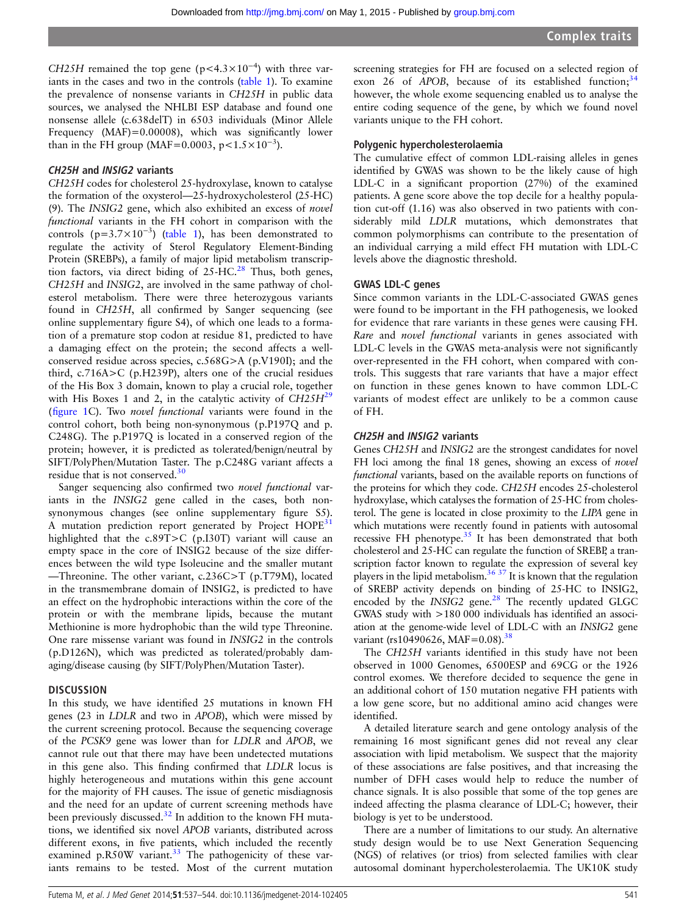CH25H remained the top gene (p<4.3×10<sup>-4</sup>) with three variants in the cases and two in the controls ([table 1](#page-3-0)). To examine the prevalence of nonsense variants in CH25H in public data sources, we analysed the NHLBI ESP database and found one nonsense allele (c.638delT) in 6503 individuals (Minor Allele Frequency (MAF)=0.00008), which was significantly lower than in the FH group (MAF=0.0003, p< $1.5 \times 10^{-3}$ ).

#### CH25H and INSIG2 variants

CH25H codes for cholesterol 25-hydroxylase, known to catalyse the formation of the oxysterol—25-hydroxycholesterol (25-HC) (9). The INSIG2 gene, which also exhibited an excess of novel functional variants in the FH cohort in comparison with the controls ( $p=3.7\times10^{-3}$ ) [\(table 1](#page-3-0)), has been demonstrated to regulate the activity of Sterol Regulatory Element-Binding Protein (SREBPs), a family of major lipid metabolism transcrip-tion factors, via direct biding of 25-HC.<sup>[28](#page-6-0)</sup> Thus, both genes, CH25H and INSIG2, are involved in the same pathway of cholesterol metabolism. There were three heterozygous variants found in CH25H, all confirmed by Sanger sequencing (see online supplementary figure S4), of which one leads to a formation of a premature stop codon at residue 81, predicted to have a damaging effect on the protein; the second affects a wellconserved residue across species, c.568G>A (p.V190I); and the third, c.716A>C (p.H239P), alters one of the crucial residues of the His Box 3 domain, known to play a crucial role, together with His Boxes 1 and 2, in the catalytic activity of  $CH25H<sup>29</sup>$  $CH25H<sup>29</sup>$  $CH25H<sup>29</sup>$ (fi[gure 1C](#page-2-0)). Two novel functional variants were found in the control cohort, both being non-synonymous (p.P197Q and p. C248G). The p.P197Q is located in a conserved region of the protein; however, it is predicted as tolerated/benign/neutral by SIFT/PolyPhen/Mutation Taster. The p.C248G variant affects a residue that is not conserved.<sup>[30](#page-6-0)</sup>

Sanger sequencing also confirmed two novel functional variants in the INSIG2 gene called in the cases, both nonsynonymous changes (see online supplementary figure S5). A mutation prediction report generated by Project HOPE<sup>31</sup> highlighted that the c.89T>C (p.I30T) variant will cause an empty space in the core of INSIG2 because of the size differences between the wild type Isoleucine and the smaller mutant —Threonine. The other variant, c.236C>T (p.T79M), located in the transmembrane domain of INSIG2, is predicted to have an effect on the hydrophobic interactions within the core of the protein or with the membrane lipids, because the mutant Methionine is more hydrophobic than the wild type Threonine. One rare missense variant was found in INSIG2 in the controls (p.D126N), which was predicted as tolerated/probably damaging/disease causing (by SIFT/PolyPhen/Mutation Taster).

#### **DISCUSSION**

In this study, we have identified 25 mutations in known FH genes (23 in LDLR and two in APOB), which were missed by the current screening protocol. Because the sequencing coverage of the PCSK9 gene was lower than for LDLR and APOB, we cannot rule out that there may have been undetected mutations in this gene also. This finding confirmed that LDLR locus is highly heterogeneous and mutations within this gene account for the majority of FH causes. The issue of genetic misdiagnosis and the need for an update of current screening methods have been previously discussed.<sup>[32](#page-6-0)</sup> In addition to the known FH mutations, we identified six novel APOB variants, distributed across different exons, in five patients, which included the recently examined p.R50W variant. $33$  The pathogenicity of these variants remains to be tested. Most of the current mutation

screening strategies for FH are focused on a selected region of exon 26 of APOB, because of its established function;  $34$ however, the whole exome sequencing enabled us to analyse the entire coding sequence of the gene, by which we found novel variants unique to the FH cohort.

#### Polygenic hypercholesterolaemia

The cumulative effect of common LDL-raising alleles in genes identified by GWAS was shown to be the likely cause of high LDL-C in a significant proportion (27%) of the examined patients. A gene score above the top decile for a healthy population cut-off (1.16) was also observed in two patients with considerably mild LDLR mutations, which demonstrates that common polymorphisms can contribute to the presentation of an individual carrying a mild effect FH mutation with LDL-C levels above the diagnostic threshold.

#### GWAS LDL-C genes

Since common variants in the LDL-C-associated GWAS genes were found to be important in the FH pathogenesis, we looked for evidence that rare variants in these genes were causing FH. Rare and novel functional variants in genes associated with LDL-C levels in the GWAS meta-analysis were not significantly over-represented in the FH cohort, when compared with controls. This suggests that rare variants that have a major effect on function in these genes known to have common LDL-C variants of modest effect are unlikely to be a common cause of FH.

#### CH25H and INSIG2 variants

Genes CH25H and INSIG2 are the strongest candidates for novel FH loci among the final 18 genes, showing an excess of *novel* functional variants, based on the available reports on functions of the proteins for which they code. CH25H encodes 25-cholesterol hydroxylase, which catalyses the formation of 25-HC from cholesterol. The gene is located in close proximity to the LIPA gene in which mutations were recently found in patients with autosomal recessive FH phenotype. $35$  It has been demonstrated that both cholesterol and 25-HC can regulate the function of SREBP, a transcription factor known to regulate the expression of several key players in the lipid metabolism.<sup>36 37</sup> It is known that the regulation of SREBP activity depends on binding of 25-HC to INSIG2, encoded by the  $INSIG2$  gene. $^{28}$  $^{28}$  $^{28}$  The recently updated GLGC GWAS study with >180 000 individuals has identified an association at the genome-wide level of LDL-C with an INSIG2 gene variant (rs10490626, MAF=0.08).<sup>38</sup>

The CH25H variants identified in this study have not been observed in 1000 Genomes, 6500ESP and 69CG or the 1926 control exomes. We therefore decided to sequence the gene in an additional cohort of 150 mutation negative FH patients with a low gene score, but no additional amino acid changes were identified.

A detailed literature search and gene ontology analysis of the remaining 16 most significant genes did not reveal any clear association with lipid metabolism. We suspect that the majority of these associations are false positives, and that increasing the number of DFH cases would help to reduce the number of chance signals. It is also possible that some of the top genes are indeed affecting the plasma clearance of LDL-C; however, their biology is yet to be understood.

There are a number of limitations to our study. An alternative study design would be to use Next Generation Sequencing (NGS) of relatives (or trios) from selected families with clear autosomal dominant hypercholesterolaemia. The UK10K study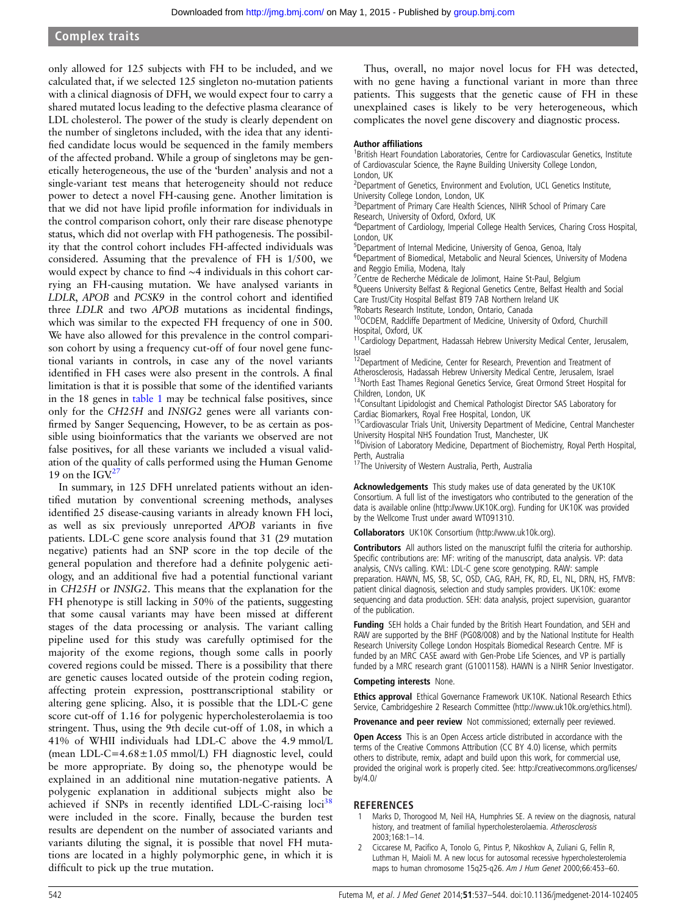#### <span id="page-5-0"></span>Complex traits

only allowed for 125 subjects with FH to be included, and we calculated that, if we selected 125 singleton no-mutation patients with a clinical diagnosis of DFH, we would expect four to carry a shared mutated locus leading to the defective plasma clearance of LDL cholesterol. The power of the study is clearly dependent on the number of singletons included, with the idea that any identified candidate locus would be sequenced in the family members of the affected proband. While a group of singletons may be genetically heterogeneous, the use of the 'burden' analysis and not a single-variant test means that heterogeneity should not reduce power to detect a novel FH-causing gene. Another limitation is that we did not have lipid profile information for individuals in the control comparison cohort, only their rare disease phenotype status, which did not overlap with FH pathogenesis. The possibility that the control cohort includes FH-affected individuals was considered. Assuming that the prevalence of FH is 1/500, we would expect by chance to find ∼4 individuals in this cohort carrying an FH-causing mutation. We have analysed variants in LDLR, APOB and PCSK9 in the control cohort and identified three LDLR and two APOB mutations as incidental findings, which was similar to the expected FH frequency of one in 500. We have also allowed for this prevalence in the control comparison cohort by using a frequency cut-off of four novel gene functional variants in controls, in case any of the novel variants identified in FH cases were also present in the controls. A final limitation is that it is possible that some of the identified variants in the 18 genes in [table 1](#page-3-0) may be technical false positives, since only for the CH25H and INSIG2 genes were all variants confirmed by Sanger Sequencing, However, to be as certain as possible using bioinformatics that the variants we observed are not false positives, for all these variants we included a visual validation of the quality of calls performed using the Human Genome 19 on the  $IGV<sup>27</sup>$  $IGV<sup>27</sup>$  $IGV<sup>27</sup>$ 

In summary, in 125 DFH unrelated patients without an identified mutation by conventional screening methods, analyses identified 25 disease-causing variants in already known FH loci, as well as six previously unreported APOB variants in five patients. LDL-C gene score analysis found that 31 (29 mutation negative) patients had an SNP score in the top decile of the general population and therefore had a definite polygenic aetiology, and an additional five had a potential functional variant in CH25H or INSIG2. This means that the explanation for the FH phenotype is still lacking in 50% of the patients, suggesting that some causal variants may have been missed at different stages of the data processing or analysis. The variant calling pipeline used for this study was carefully optimised for the majority of the exome regions, though some calls in poorly covered regions could be missed. There is a possibility that there are genetic causes located outside of the protein coding region, affecting protein expression, posttranscriptional stability or altering gene splicing. Also, it is possible that the LDL-C gene score cut-off of 1.16 for polygenic hypercholesterolaemia is too stringent. Thus, using the 9th decile cut-off of 1.08, in which a 41% of WHII individuals had LDL-C above the 4.9 mmol/L (mean LDL-C=4.68±1.05 mmol/L) FH diagnostic level, could be more appropriate. By doing so, the phenotype would be explained in an additional nine mutation-negative patients. A polygenic explanation in additional subjects might also be achieved if SNPs in recently identified LDL-C-raising loci<sup>38</sup> were included in the score. Finally, because the burden test results are dependent on the number of associated variants and variants diluting the signal, it is possible that novel FH mutations are located in a highly polymorphic gene, in which it is difficult to pick up the true mutation.

Thus, overall, no major novel locus for FH was detected, with no gene having a functional variant in more than three patients. This suggests that the genetic cause of FH in these unexplained cases is likely to be very heterogeneous, which complicates the novel gene discovery and diagnostic process.

#### Author affiliations <sup>1</sup>

<sup>1</sup>British Heart Foundation Laboratories, Centre for Cardiovascular Genetics, Institute of Cardiovascular Science, the Rayne Building University College London, London, UK

<sup>2</sup>Department of Genetics, Environment and Evolution, UCL Genetics Institute, University College London, London, UK

<sup>3</sup>Department of Primary Care Health Sciences, NIHR School of Primary Care Research, University of Oxford, Oxford, UK

<sup>4</sup>Department of Cardiology, Imperial College Health Services, Charing Cross Hospital, London, UK

<sup>5</sup>Department of Internal Medicine, University of Genoa, Genoa, Italy

<sup>6</sup>Department of Biomedical, Metabolic and Neural Sciences, University of Modena and Reggio Emilia, Modena, Italy

<sup>7</sup> Centre de Recherche Médicale de Jolimont, Haine St-Paul, Belgium

<sup>8</sup>Queens University Belfast & Regional Genetics Centre, Belfast Health and Social Care Trust/City Hospital Belfast BT9 7AB Northern Ireland UK

9 Robarts Research Institute, London, Ontario, Canada

10OCDEM, Radcliffe Department of Medicine, University of Oxford, Churchill Hospital, Oxford, UK

<sup>11</sup>Cardiology Department, Hadassah Hebrew University Medical Center, Jerusalem, Israel

 $12$ Department of Medicine, Center for Research, Prevention and Treatment of Atherosclerosis, Hadassah Hebrew University Medical Centre, Jerusalem, Israel 13North East Thames Regional Genetics Service, Great Ormond Street Hospital for Children, London, UK

<sup>14</sup>Consultant Lipidologist and Chemical Pathologist Director SAS Laboratory for

Cardiac Biomarkers, Royal Free Hospital, London, UK 15Cardiovascular Trials Unit, University Department of Medicine, Central Manchester

University Hospital NHS Foundation Trust, Manchester, UK<br><sup>16</sup>Division of Laboratory Medicine, Department of Biochemistry, Royal Perth Hospital, Perth, Australia

<sup>17</sup>The University of Western Australia, Perth, Australia

Acknowledgements This study makes use of data generated by the UK10K Consortium. A full list of the investigators who contributed to the generation of the data is available online (<http://www.UK10K.org>). Funding for UK10K was provided by the Wellcome Trust under award WT091310.

Collaborators UK10K Consortium ([http://www.uk10k.org\)](http://www.uk10k.org).

Contributors All authors listed on the manuscript fulfil the criteria for authorship. Specific contributions are: MF: writing of the manuscript, data analysis. VP: data analysis, CNVs calling. KWL: LDL-C gene score genotyping. RAW: sample preparation. HAWN, MS, SB, SC, OSD, CAG, RAH, FK, RD, EL, NL, DRN, HS, FMVB: patient clinical diagnosis, selection and study samples providers. UK10K: exome sequencing and data production. SEH: data analysis, project supervision, guarantor of the publication.

Funding SEH holds a Chair funded by the British Heart Foundation, and SEH and RAW are supported by the BHF (PG08/008) and by the National Institute for Health Research University College London Hospitals Biomedical Research Centre. MF is funded by an MRC CASE award with Gen-Probe Life Sciences, and VP is partially funded by a MRC research grant (G1001158). HAWN is a NIHR Senior Investigator.

#### Competing interests None.

Ethics approval Ethical Governance Framework UK10K. National Research Ethics Service, Cambridgeshire 2 Research Committee (http://www.uk10k.org/ethics.html).

Provenance and peer review Not commissioned; externally peer reviewed.

Open Access This is an Open Access article distributed in accordance with the terms of the Creative Commons Attribution (CC BY 4.0) license, which permits others to distribute, remix, adapt and build upon this work, for commercial use, provided the original work is properly cited. See: [http://creativecommons.org/licenses/](http://creativecommons.org/licenses/by/3.0/) [by/4.0/](http://creativecommons.org/licenses/by/3.0/)

#### REFERENCES

- Marks D, Thorogood M, Neil HA, Humphries SE. A review on the diagnosis, natural history, and treatment of familial hypercholesterolaemia. Atherosclerosis 2003;168:1–14.
- 2 Ciccarese M, Pacifico A, Tonolo G, Pintus P, Nikoshkov A, Zuliani G, Fellin R, Luthman H, Maioli M. A new locus for autosomal recessive hypercholesterolemia maps to human chromosome 15q25-q26. Am J Hum Genet 2000;66:453–60.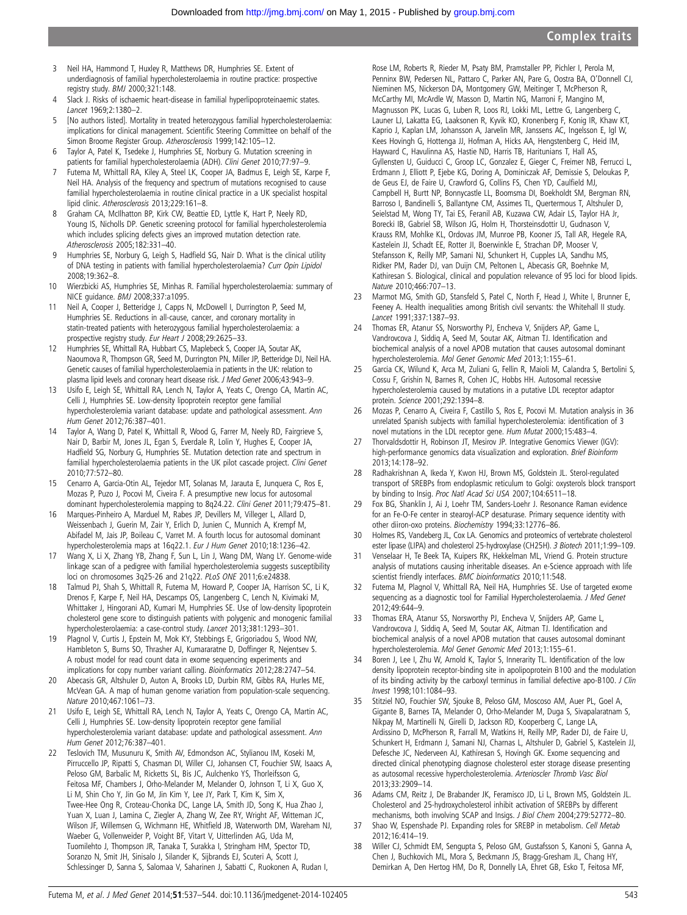- <span id="page-6-0"></span>3 Neil HA, Hammond T, Huxley R, Matthews DR, Humphries SE. Extent of underdiagnosis of familial hypercholesterolaemia in routine practice: prospective registry study. BMJ 2000;321:148.
- 4 Slack J. Risks of ischaemic heart-disease in familial hyperlipoproteinaemic states. Lancet 1969;2:1380–2.
- 5 [No authors listed]. Mortality in treated heterozygous familial hypercholesterolaemia: implications for clinical management. Scientific Steering Committee on behalf of the Simon Broome Register Group. Atherosclerosis 1999;142:105–12.
- 6 Taylor A, Patel K, Tsedeke J, Humphries SE, Norbury G. Mutation screening in patients for familial hypercholesterolaemia (ADH). Clini Genet 2010;77:97–9.
- 7 Futema M, Whittall RA, Kiley A, Steel LK, Cooper JA, Badmus E, Leigh SE, Karpe F, Neil HA. Analysis of the frequency and spectrum of mutations recognised to cause familial hypercholesterolaemia in routine clinical practice in a UK specialist hospital lipid clinic. Atherosclerosis 2013;229:161–8.
- 8 Graham CA, McIlhatton BP, Kirk CW, Beattie ED, Lyttle K, Hart P, Neely RD, Young IS, Nicholls DP. Genetic screening protocol for familial hypercholesterolemia which includes splicing defects gives an improved mutation detection rate. Atherosclerosis 2005;182:331–40.
- 9 Humphries SE, Norbury G, Leigh S, Hadfield SG, Nair D. What is the clinical utility of DNA testing in patients with familial hypercholesterolaemia? Curr Opin Lipidol 2008;19:362–8.
- 10 Wierzbicki AS, Humphries SE, Minhas R. Familial hypercholesterolaemia: summary of NICE guidance. BMJ 2008;337:a1095.
- 11 Neil A, Cooper J, Betteridge J, Capps N, McDowell I, Durrington P, Seed M, Humphries SE. Reductions in all-cause, cancer, and coronary mortality in statin-treated patients with heterozygous familial hypercholesterolaemia: a prospective registry study. Eur Heart J 2008;29:2625–33.
- 12 Humphries SE, Whittall RA, Hubbart CS, Maplebeck S, Cooper JA, Soutar AK, Naoumova R, Thompson GR, Seed M, Durrington PN, Miller JP, Betteridge DJ, Neil HA. Genetic causes of familial hypercholesterolaemia in patients in the UK: relation to plasma lipid levels and coronary heart disease risk. J Med Genet 2006;43:943-9.
- 13 Usifo E, Leigh SE, Whittall RA, Lench N, Taylor A, Yeats C, Orengo CA, Martin AC, Celli J, Humphries SE. Low-density lipoprotein receptor gene familial hypercholesterolemia variant database: update and pathological assessment. Ann Hum Genet 2012;76:387–401.
- 14 Taylor A, Wang D, Patel K, Whittall R, Wood G, Farrer M, Neely RD, Fairgrieve S, Nair D, Barbir M, Jones JL, Egan S, Everdale R, Lolin Y, Hughes E, Cooper JA, Hadfield SG, Norbury G, Humphries SE. Mutation detection rate and spectrum in familial hypercholesterolaemia patients in the UK pilot cascade project. Clini Genet 2010;77:572–80.
- 15 Cenarro A, Garcia-Otin AL, Tejedor MT, Solanas M, Jarauta E, Junquera C, Ros E, Mozas P, Puzo J, Pocovi M, Civeira F. A presumptive new locus for autosomal dominant hypercholesterolemia mapping to 8q24.22. Clini Genet 2011;79:475–81.
- 16 Marques-Pinheiro A, Marduel M, Rabes JP, Devillers M, Villeger L, Allard D, Weissenbach J, Guerin M, Zair Y, Erlich D, Junien C, Munnich A, Krempf M, Abifadel M, Jais JP, Boileau C, Varret M. A fourth locus for autosomal dominant hypercholesterolemia maps at 16q22.1. Eur J Hum Genet 2010;18:1236–42.
- 17 Wang X, Li X, Zhang YB, Zhang F, Sun L, Lin J, Wang DM, Wang LY. Genome-wide linkage scan of a pedigree with familial hypercholesterolemia suggests susceptibility loci on chromosomes 3q25-26 and 21q22. PLoS ONE 2011;6:e24838.
- 18 Talmud PJ, Shah S, Whittall R, Futema M, Howard P, Cooper JA, Harrison SC, Li K, Drenos F, Karpe F, Neil HA, Descamps OS, Langenberg C, Lench N, Kivimaki M, Whittaker J, Hingorani AD, Kumari M, Humphries SE. Use of low-density lipoprotein cholesterol gene score to distinguish patients with polygenic and monogenic familial hypercholesterolaemia: a case-control study. Lancet 2013;381:1293–301.
- 19 Plagnol V, Curtis J, Epstein M, Mok KY, Stebbings E, Grigoriadou S, Wood NW, Hambleton S, Burns SO, Thrasher AJ, Kumararatne D, Doffinger R, Nejentsev S. A robust model for read count data in exome sequencing experiments and implications for copy number variant calling. Bioinformatics 2012;28:2747–54.
- 20 Abecasis GR, Altshuler D, Auton A, Brooks LD, Durbin RM, Gibbs RA, Hurles ME, McVean GA. A map of human genome variation from population-scale sequencing. Nature 2010;467:1061–73.
- 21 Usifo E, Leigh SE, Whittall RA, Lench N, Taylor A, Yeats C, Orengo CA, Martin AC, Celli J, Humphries SE. Low-density lipoprotein receptor gene familial hypercholesterolemia variant database: update and pathological assessment. Ann Hum Genet 2012;76:387–401.
- 22 Teslovich TM, Musunuru K, Smith AV, Edmondson AC, Stylianou IM, Koseki M, Pirruccello JP, Ripatti S, Chasman DI, Willer CJ, Johansen CT, Fouchier SW, Isaacs A, Peloso GM, Barbalic M, Ricketts SL, Bis JC, Aulchenko YS, Thorleifsson G, Feitosa MF, Chambers J, Orho-Melander M, Melander O, Johnson T, Li X, Guo X, Li M, Shin Cho Y, Jin Go M, Jin Kim Y, Lee JY, Park T, Kim K, Sim X, Twee-Hee Ong R, Croteau-Chonka DC, Lange LA, Smith JD, Song K, Hua Zhao J, Yuan X, Luan J, Lamina C, Ziegler A, Zhang W, Zee RY, Wright AF, Witteman JC, Wilson JF, Willemsen G, Wichmann HE, Whitfield JB, Waterworth DM, Wareham NJ, Waeber G, Vollenweider P, Voight BF, Vitart V, Uitterlinden AG, Uda M, Tuomilehto J, Thompson JR, Tanaka T, Surakka I, Stringham HM, Spector TD, Soranzo N, Smit JH, Sinisalo J, Silander K, Sijbrands EJ, Scuteri A, Scott J, Schlessinger D, Sanna S, Salomaa V, Saharinen J, Sabatti C, Ruokonen A, Rudan I,

Rose LM, Roberts R, Rieder M, Psaty BM, Pramstaller PP, Pichler I, Perola M, Penninx BW, Pedersen NL, Pattaro C, Parker AN, Pare G, Oostra BA, O'Donnell CJ, Nieminen MS, Nickerson DA, Montgomery GW, Meitinger T, McPherson R, McCarthy MI, McArdle W, Masson D, Martin NG, Marroni F, Mangino M, Magnusson PK, Lucas G, Luben R, Loos RJ, Lokki ML, Lettre G, Langenberg C, Launer LJ, Lakatta EG, Laaksonen R, Kyvik KO, Kronenberg F, Konig IR, Khaw KT, Kaprio J, Kaplan LM, Johansson A, Jarvelin MR, Janssens AC, Ingelsson E, Igl W, Kees Hovingh G, Hottenga JJ, Hofman A, Hicks AA, Hengstenberg C, Heid IM, Hayward C, Havulinna AS, Hastie ND, Harris TB, Haritunians T, Hall AS, Gyllensten U, Guiducci C, Groop LC, Gonzalez E, Gieger C, Freimer NB, Ferrucci L, Erdmann J, Elliott P, Ejebe KG, Doring A, Dominiczak AF, Demissie S, Deloukas P, de Geus EJ, de Faire U, Crawford G, Collins FS, Chen YD, Caulfield MJ, Campbell H, Burtt NP, Bonnycastle LL, Boomsma DI, Boekholdt SM, Bergman RN, Barroso I, Bandinelli S, Ballantyne CM, Assimes TL, Quertermous T, Altshuler D, Seielstad M, Wong TY, Tai ES, Feranil AB, Kuzawa CW, Adair LS, Taylor HA Jr, Borecki IB, Gabriel SB, Wilson JG, Holm H, Thorsteinsdottir U, Gudnason V, Krauss RM, Mohlke KL, Ordovas JM, Munroe PB, Kooner JS, Tall AR, Hegele RA, Kastelein JJ, Schadt EE, Rotter JI, Boerwinkle E, Strachan DP, Mooser V, Stefansson K, Reilly MP, Samani NJ, Schunkert H, Cupples LA, Sandhu MS, Ridker PM, Rader DJ, van Duijn CM, Peltonen L, Abecasis GR, Boehnke M, Kathiresan S. Biological, clinical and population relevance of 95 loci for blood lipids. Nature 2010;466:707–13.

- 23 Marmot MG, Smith GD, Stansfeld S, Patel C, North F, Head J, White I, Brunner E, Feeney A. Health inequalities among British civil servants: the Whitehall II study. Lancet 1991;337:1387–93.
- 24 Thomas ER, Atanur SS, Norsworthy PJ, Encheva V, Snijders AP, Game L, Vandrovcova J, Siddiq A, Seed M, Soutar AK, Aitman TJ. Identification and biochemical analysis of a novel APOB mutation that causes autosomal dominant hypercholesterolemia. Mol Genet Genomic Med 2013;1:155–61.
- 25 Garcia CK, Wilund K, Arca M, Zuliani G, Fellin R, Maioli M, Calandra S, Bertolini S, Cossu F, Grishin N, Barnes R, Cohen JC, Hobbs HH. Autosomal recessive hypercholesterolemia caused by mutations in a putative LDL receptor adaptor protein. Science 2001;292:1394–8.
- 26 Mozas P, Cenarro A, Civeira F, Castillo S, Ros E, Pocovi M. Mutation analysis in 36 unrelated Spanish subjects with familial hypercholesterolemia: identification of 3 novel mutations in the LDL receptor gene. Hum Mutat 2000;15:483–4.
- 27 Thorvaldsdottir H, Robinson JT, Mesirov JP. Integrative Genomics Viewer (IGV): high-performance genomics data visualization and exploration. Brief Bioinform 2013;14:178–92.
- 28 Radhakrishnan A, Ikeda Y, Kwon HJ, Brown MS, Goldstein JL. Sterol-regulated transport of SREBPs from endoplasmic reticulum to Golgi: oxysterols block transport by binding to Insig. Proc Natl Acad Sci USA 2007;104:6511–18.
- 29 Fox BG, Shanklin J, Ai J, Loehr TM, Sanders-Loehr J. Resonance Raman evidence for an Fe-O-Fe center in stearoyl-ACP desaturase. Primary sequence identity with other diiron-oxo proteins. Biochemistry 1994;33:12776–86.
- 30 Holmes RS, Vandeberg JL, Cox LA. Genomics and proteomics of vertebrate cholesterol ester lipase (LIPA) and cholesterol 25-hydroxylase (CH25H). 3 Biotech 2011;1:99–109.
- 31 Venselaar H, Te Beek TA, Kuipers RK, Hekkelman ML, Vriend G. Protein structure analysis of mutations causing inheritable diseases. An e-Science approach with life scientist friendly interfaces. BMC bioinformatics 2010;11:548.
- 32 Futema M, Plagnol V, Whittall RA, Neil HA, Humphries SE. Use of targeted exome sequencing as a diagnostic tool for Familial Hypercholesterolaemia. J Med Genet 2012;49:644–9.
- 33 Thomas ERA, Atanur SS, Norsworthy PJ, Encheva V, Snijders AP, Game L, Vandrovcova J, Siddiq A, Seed M, Soutar AK, Aitman TJ. Identification and biochemical analysis of a novel APOB mutation that causes autosomal dominant hypercholesterolemia. Mol Genet Genomic Med 2013;1:155–61.
- 34 Boren J, Lee I, Zhu W, Arnold K, Taylor S, Innerarity TL. Identification of the low density lipoprotein receptor-binding site in apolipoprotein B100 and the modulation of its binding activity by the carboxyl terminus in familial defective apo-B100. J Clin Invest 1998;101:1084–93.
- Stitziel NO, Fouchier SW, Sjouke B, Peloso GM, Moscoso AM, Auer PL, Goel A, Gigante B, Barnes TA, Melander O, Orho-Melander M, Duga S, Sivapalaratnam S, Nikpay M, Martinelli N, Girelli D, Jackson RD, Kooperberg C, Lange LA, Ardissino D, McPherson R, Farrall M, Watkins H, Reilly MP, Rader DJ, de Faire U, Schunkert H, Erdmann J, Samani NJ, Charnas L, Altshuler D, Gabriel S, Kastelein JJ, Defesche JC, Nederveen AJ, Kathiresan S, Hovingh GK. Exome sequencing and directed clinical phenotyping diagnose cholesterol ester storage disease presenting as autosomal recessive hypercholesterolemia. Arterioscler Thromb Vasc Biol 2013;33:2909–14.
- 36 Adams CM, Reitz J, De Brabander JK, Feramisco JD, Li L, Brown MS, Goldstein JL. Cholesterol and 25-hydroxycholesterol inhibit activation of SREBPs by different mechanisms, both involving SCAP and Insigs. J Biol Chem 2004;279:52772–80.
- 37 Shao W, Espenshade PJ. Expanding roles for SREBP in metabolism. Cell Metab 2012;16:414–19.
- 38 Willer CJ, Schmidt EM, Sengupta S, Peloso GM, Gustafsson S, Kanoni S, Ganna A, Chen J, Buchkovich ML, Mora S, Beckmann JS, Bragg-Gresham JL, Chang HY, Demirkan A, Den Hertog HM, Do R, Donnelly LA, Ehret GB, Esko T, Feitosa MF,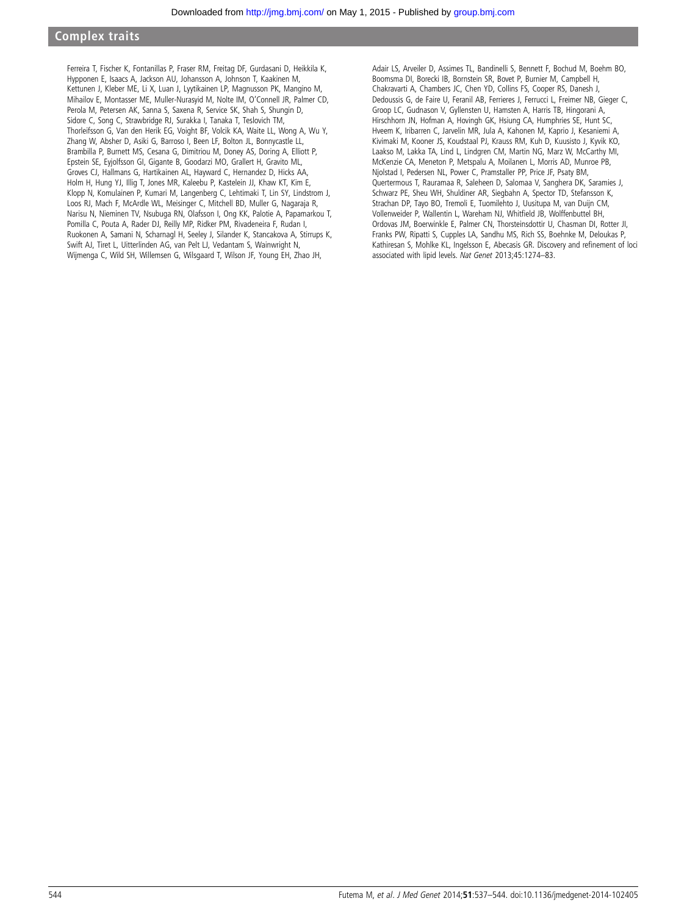#### Complex traits

Ferreira T, Fischer K, Fontanillas P, Fraser RM, Freitag DF, Gurdasani D, Heikkila K, Hypponen E, Isaacs A, Jackson AU, Johansson A, Johnson T, Kaakinen M, Kettunen J, Kleber ME, Li X, Luan J, Lyytikainen LP, Magnusson PK, Mangino M, Mihailov E, Montasser ME, Muller-Nurasyid M, Nolte IM, O'Connell JR, Palmer CD, Perola M, Petersen AK, Sanna S, Saxena R, Service SK, Shah S, Shungin D, Sidore C, Song C, Strawbridge RJ, Surakka I, Tanaka T, Teslovich TM, Thorleifsson G, Van den Herik EG, Voight BF, Volcik KA, Waite LL, Wong A, Wu Y, Zhang W, Absher D, Asiki G, Barroso I, Been LF, Bolton JL, Bonnycastle LL, Brambilla P, Burnett MS, Cesana G, Dimitriou M, Doney AS, Doring A, Elliott P, Epstein SE, Eyjolfsson GI, Gigante B, Goodarzi MO, Grallert H, Gravito ML, Groves CJ, Hallmans G, Hartikainen AL, Hayward C, Hernandez D, Hicks AA, Holm H, Hung YJ, Illig T, Jones MR, Kaleebu P, Kastelein JJ, Khaw KT, Kim E, Klopp N, Komulainen P, Kumari M, Langenberg C, Lehtimaki T, Lin SY, Lindstrom J, Loos RJ, Mach F, McArdle WL, Meisinger C, Mitchell BD, Muller G, Nagaraja R, Narisu N, Nieminen TV, Nsubuga RN, Olafsson I, Ong KK, Palotie A, Papamarkou T, Pomilla C, Pouta A, Rader DJ, Reilly MP, Ridker PM, Rivadeneira F, Rudan I, Ruokonen A, Samani N, Scharnagl H, Seeley J, Silander K, Stancakova A, Stirrups K, Swift AJ, Tiret L, Uitterlinden AG, van Pelt LJ, Vedantam S, Wainwright N, Wijmenga C, Wild SH, Willemsen G, Wilsgaard T, Wilson JF, Young EH, Zhao JH,

Adair LS, Arveiler D, Assimes TL, Bandinelli S, Bennett F, Bochud M, Boehm BO, Boomsma DI, Borecki IB, Bornstein SR, Bovet P, Burnier M, Campbell H, Chakravarti A, Chambers JC, Chen YD, Collins FS, Cooper RS, Danesh J, Dedoussis G, de Faire U, Feranil AB, Ferrieres J, Ferrucci L, Freimer NB, Gieger C, Groop LC, Gudnason V, Gyllensten U, Hamsten A, Harris TB, Hingorani A, Hirschhorn JN, Hofman A, Hovingh GK, Hsiung CA, Humphries SE, Hunt SC, Hveem K, Iribarren C, Jarvelin MR, Jula A, Kahonen M, Kaprio J, Kesaniemi A, Kivimaki M, Kooner JS, Koudstaal PJ, Krauss RM, Kuh D, Kuusisto J, Kyvik KO, Laakso M, Lakka TA, Lind L, Lindgren CM, Martin NG, Marz W, McCarthy MI, McKenzie CA, Meneton P, Metspalu A, Moilanen L, Morris AD, Munroe PB, Njolstad I, Pedersen NL, Power C, Pramstaller PP, Price JF, Psaty BM, Quertermous T, Rauramaa R, Saleheen D, Salomaa V, Sanghera DK, Saramies J, Schwarz PE, Sheu WH, Shuldiner AR, Siegbahn A, Spector TD, Stefansson K, Strachan DP, Tayo BO, Tremoli E, Tuomilehto J, Uusitupa M, van Duijn CM, Vollenweider P, Wallentin L, Wareham NJ, Whitfield JB, Wolffenbuttel BH, Ordovas JM, Boerwinkle E, Palmer CN, Thorsteinsdottir U, Chasman DI, Rotter JI, Franks PW, Ripatti S, Cupples LA, Sandhu MS, Rich SS, Boehnke M, Deloukas P, Kathiresan S, Mohlke KL, Ingelsson E, Abecasis GR. Discovery and refinement of loci associated with lipid levels. Nat Genet 2013;45:1274–83.